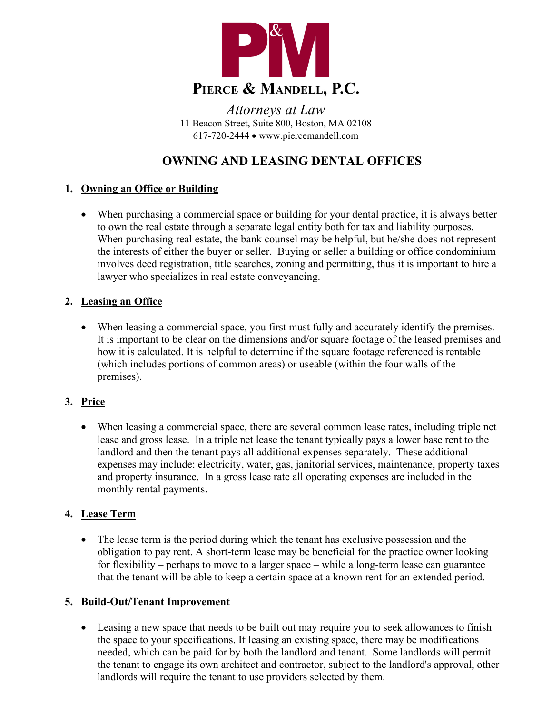

*Attorneys at Law* 11 Beacon Street, Suite 800, Boston, MA 02108 617-720-2444 • www.piercemandell.com

# **OWNING AND LEASING DENTAL OFFICES**

## **1. Owning an Office or Building**

• When purchasing a commercial space or building for your dental practice, it is always better to own the real estate through a separate legal entity both for tax and liability purposes. When purchasing real estate, the bank counsel may be helpful, but he/she does not represent the interests of either the buyer or seller. Buying or seller a building or office condominium involves deed registration, title searches, zoning and permitting, thus it is important to hire a lawyer who specializes in real estate conveyancing.

## **2. Leasing an Office**

• When leasing a commercial space, you first must fully and accurately identify the premises. It is important to be clear on the dimensions and/or square footage of the leased premises and how it is calculated. It is helpful to determine if the square footage referenced is rentable (which includes portions of common areas) or useable (within the four walls of the premises).

## **3. Price**

• When leasing a commercial space, there are several common lease rates, including triple net lease and gross lease. In a triple net lease the tenant typically pays a lower base rent to the landlord and then the tenant pays all additional expenses separately. These additional expenses may include: electricity, water, gas, janitorial services, maintenance, property taxes and property insurance. In a gross lease rate all operating expenses are included in the monthly rental payments.

## **4. Lease Term**

• The lease term is the period during which the tenant has exclusive possession and the obligation to pay rent. A short-term lease may be beneficial for the practice owner looking for flexibility – perhaps to move to a larger space – while a long-term lease can guarantee that the tenant will be able to keep a certain space at a known rent for an extended period.

## **5. Build-Out/Tenant Improvement**

• Leasing a new space that needs to be built out may require you to seek allowances to finish the space to your specifications. If leasing an existing space, there may be modifications needed, which can be paid for by both the landlord and tenant. Some landlords will permit the tenant to engage its own architect and contractor, subject to the landlord's approval, other landlords will require the tenant to use providers selected by them.